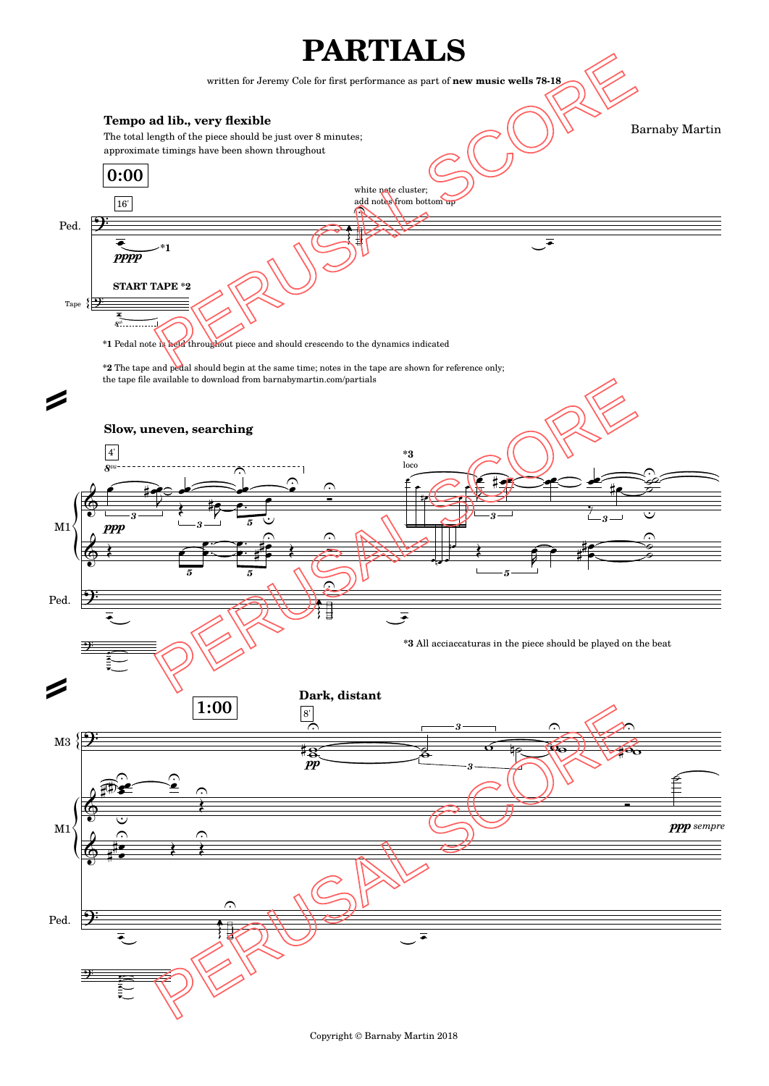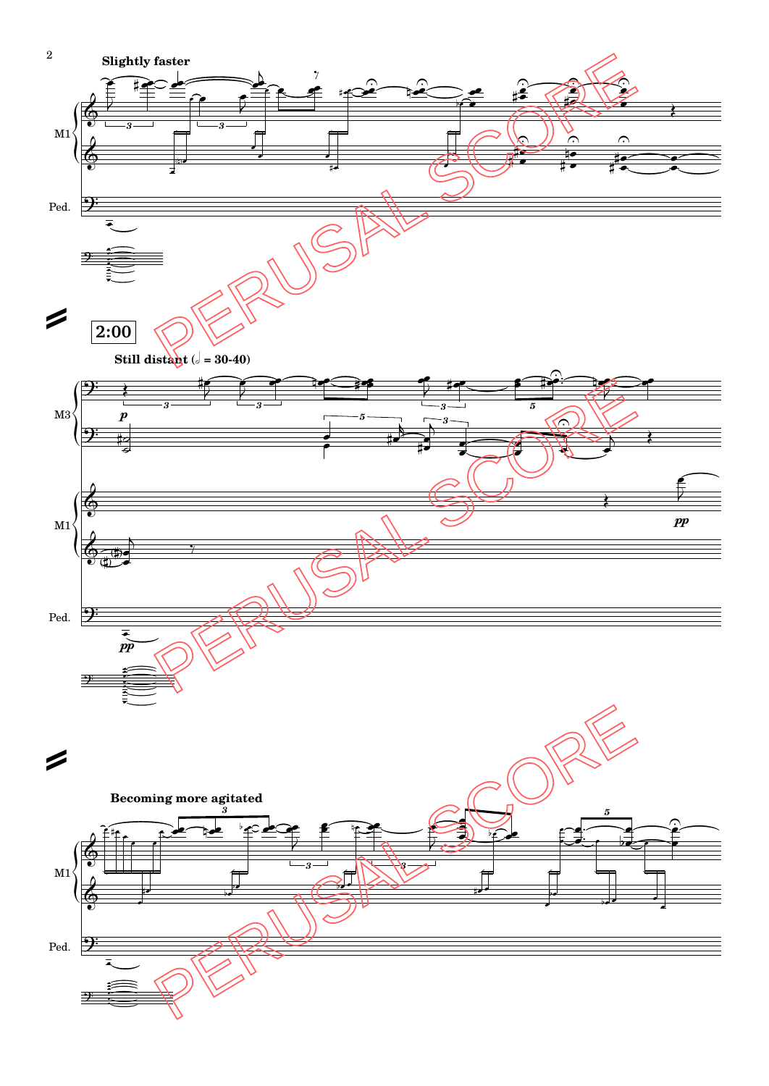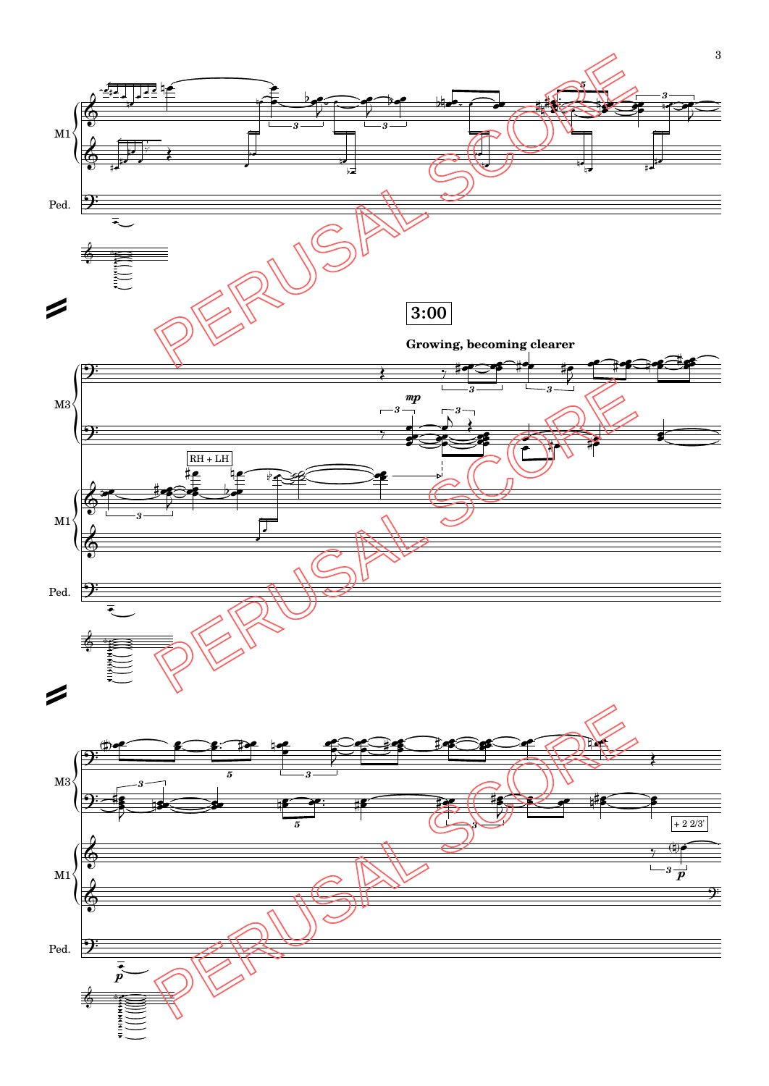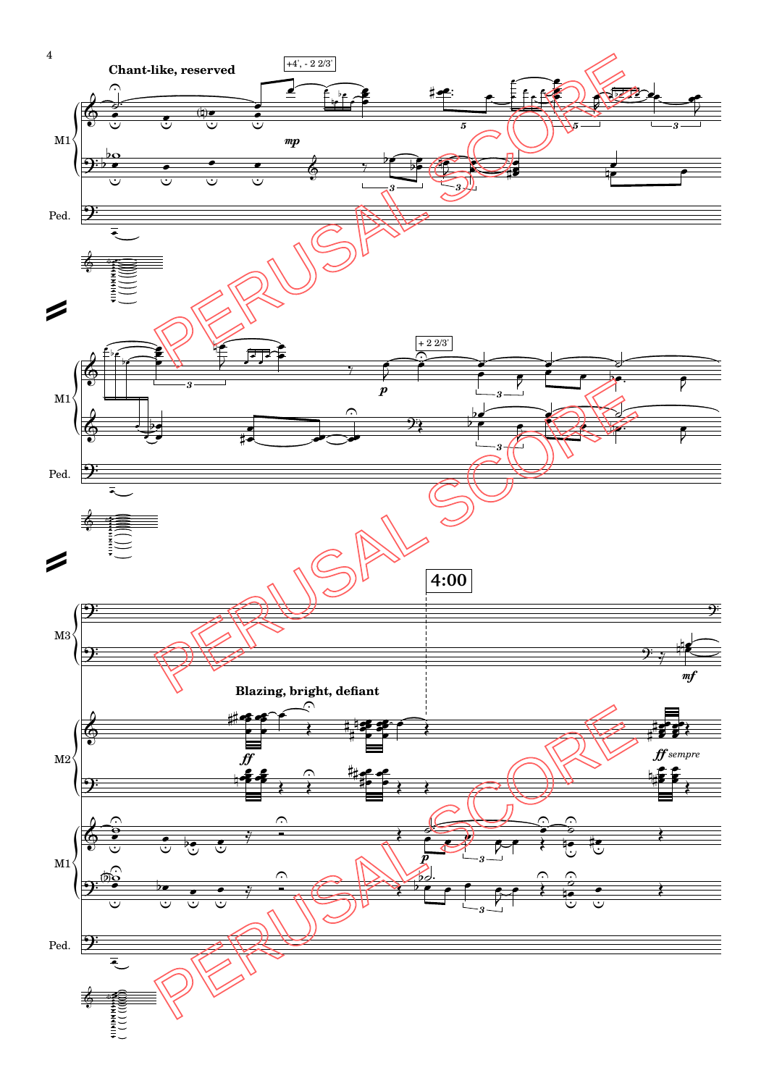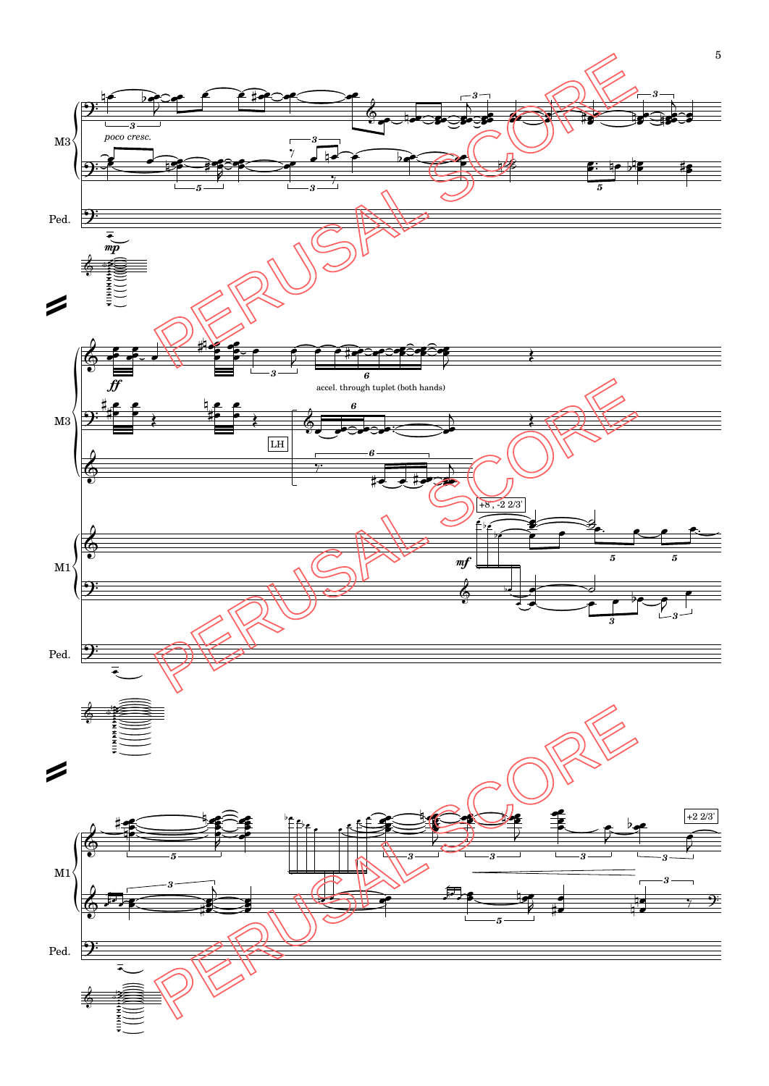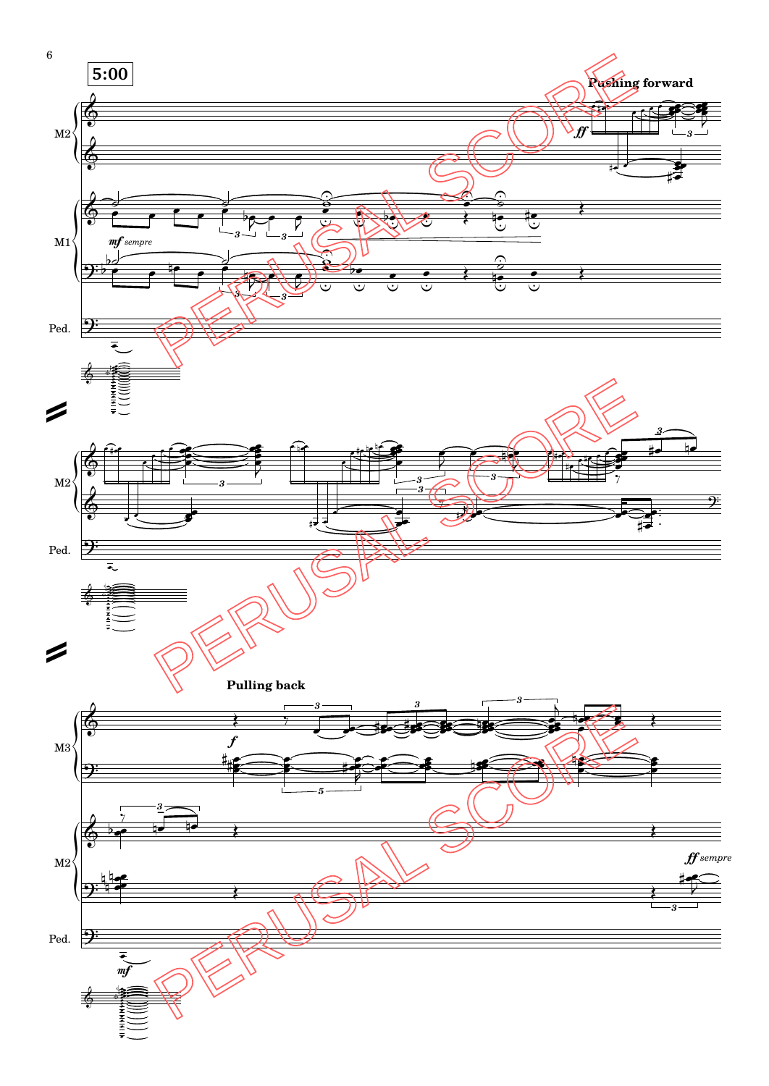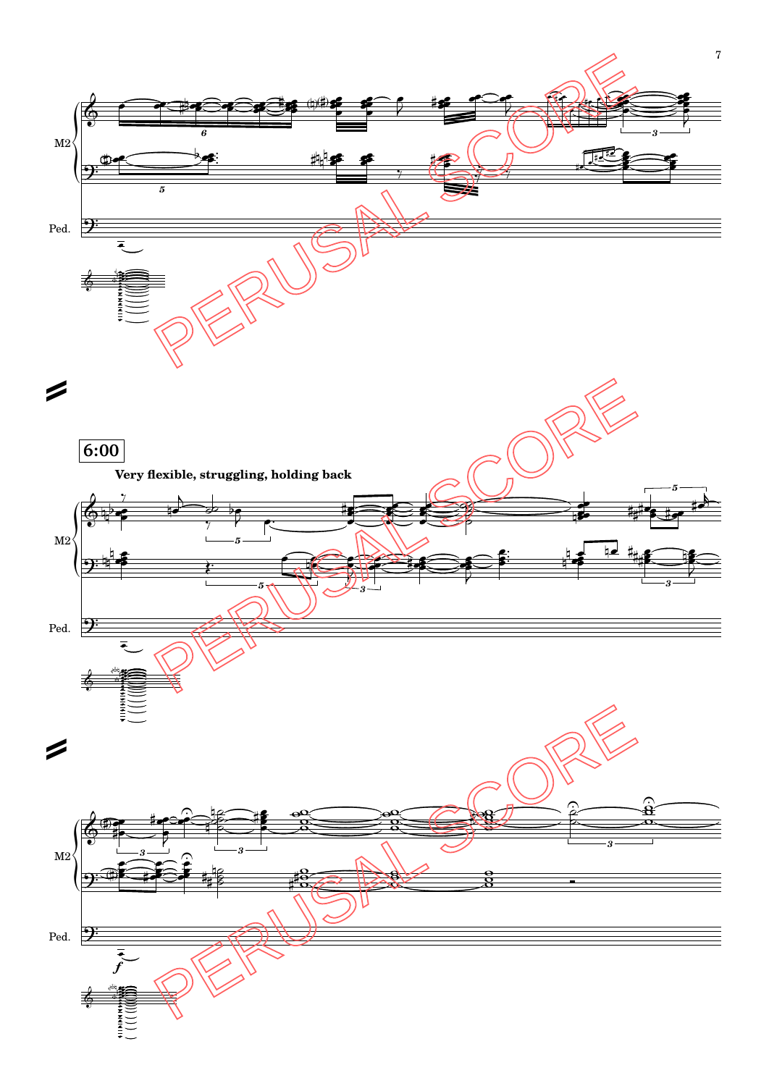